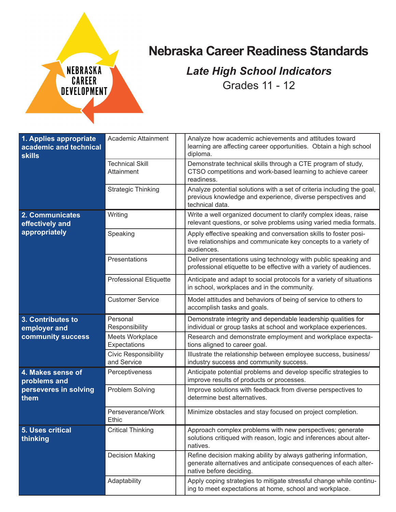## **Nebraska Career Readiness Standards**

## *Late High School Indicators* Grades 11 - 12

| 1. Applies appropriate<br>academic and technical<br><b>skills</b> | Academic Attainment                        | Analyze how academic achievements and attitudes toward<br>learning are affecting career opportunities. Obtain a high school<br>diploma.                        |
|-------------------------------------------------------------------|--------------------------------------------|----------------------------------------------------------------------------------------------------------------------------------------------------------------|
|                                                                   | <b>Technical Skill</b><br>Attainment       | Demonstrate technical skills through a CTE program of study,<br>CTSO competitions and work-based learning to achieve career<br>readiness.                      |
|                                                                   | <b>Strategic Thinking</b>                  | Analyze potential solutions with a set of criteria including the goal,<br>previous knowledge and experience, diverse perspectives and<br>technical data.       |
| 2. Communicates<br>effectively and<br>appropriately               | Writing                                    | Write a well organized document to clarify complex ideas, raise<br>relevant questions, or solve problems using varied media formats.                           |
|                                                                   | Speaking                                   | Apply effective speaking and conversation skills to foster posi-<br>tive relationships and communicate key concepts to a variety of<br>audiences.              |
|                                                                   | Presentations                              | Deliver presentations using technology with public speaking and<br>professional etiquette to be effective with a variety of audiences.                         |
|                                                                   | <b>Professional Etiquette</b>              | Anticipate and adapt to social protocols for a variety of situations<br>in school, workplaces and in the community.                                            |
|                                                                   | <b>Customer Service</b>                    | Model attitudes and behaviors of being of service to others to<br>accomplish tasks and goals.                                                                  |
| 3. Contributes to<br>employer and<br>community success            | Personal<br>Responsibility                 | Demonstrate integrity and dependable leadership qualities for<br>individual or group tasks at school and workplace experiences.                                |
|                                                                   | Meets Workplace<br>Expectations            | Research and demonstrate employment and workplace expecta-<br>tions aligned to career goal.                                                                    |
|                                                                   |                                            |                                                                                                                                                                |
|                                                                   | <b>Civic Responsibility</b><br>and Service | Illustrate the relationship between employee success, business/<br>industry success and community success.                                                     |
| 4. Makes sense of                                                 | Perceptiveness                             | Anticipate potential problems and develop specific strategies to<br>improve results of products or processes.                                                  |
| problems and<br>perseveres in solving<br>them                     | Problem Solving                            | Improve solutions with feedback from diverse perspectives to<br>determine best alternatives.                                                                   |
|                                                                   | Perseverance/Work<br>Ethic                 | Minimize obstacles and stay focused on project completion.                                                                                                     |
| 5. Uses critical<br>thinking                                      | <b>Critical Thinking</b>                   | Approach complex problems with new perspectives; generate<br>solutions critiqued with reason, logic and inferences about alter-<br>natives.                    |
|                                                                   | <b>Decision Making</b>                     | Refine decision making ability by always gathering information,<br>generate alternatives and anticipate consequences of each alter-<br>native before deciding. |

NEBRASKA

**CAREER**<br>DEVELOPMENT